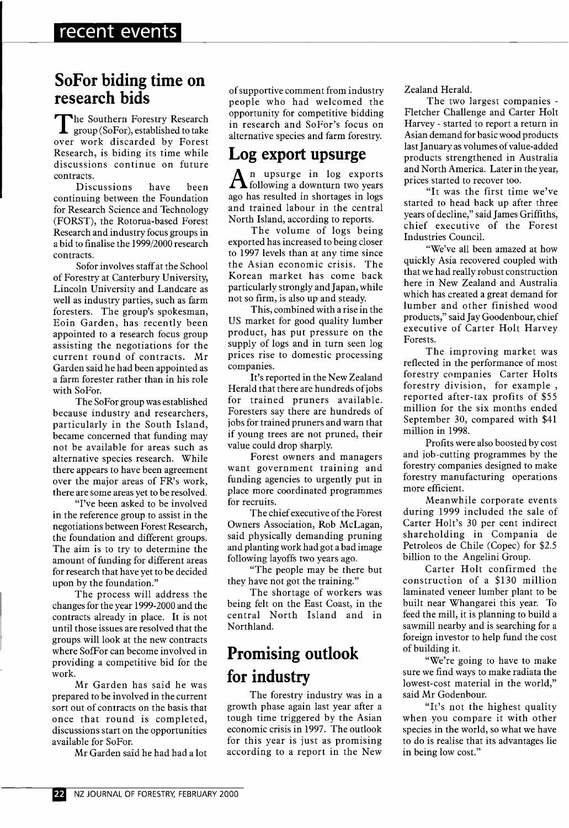#### **SoFor biding time on research bids**

The Southern Forestry Research<br>group (SoFor), established to take group (SoFor), established to take over work discarded by Forest Research, is biding its time while discussions continue on future contracts.

Discussions have been continuing between the Foundation for Research Science and Technology (FORST), the Rotorua-based Forest Research and industry focus groups in a bid to finalise the 1999/2000 research contracts.

Sofor involves staff at the School of Forestry at Canterbury University, Lincoln University and Landcare as well as industry parties, such as farm foresters. The group's spokesman, Eoin Garden, has recently been appointed to a research focus group assisting the negotiations for the current round of contracts. Mr Garden said he had been appointed as a farm forester rather than in his role with SoFor.

The SoFor group was established because industry and researchers, particularly in the South Island, became concerned that funding may not be available for areas such as alternative species research. While there appears to have been agreement over the major areas of FR's work, there are some areas yet to be resolved.

"I've been asked to be involved in the reference group to assist in the negotiations between Forest Research, the foundation and different groups. The aim is to try to determine the amount of funding for different areas for research that have yet to be decided upon by the foundation."

The process will address the changes for the year 1999-2000 and the contracts already in place. It is not until those issues are resolved that the groups will look at the new contracts where SofFor can become involved in providing a competitive bid for the work.

Mr Garden has said he was prepared to be involved in the current sort out of contracts on the basis that once that round is completed, discussions start on the opportunities available for SoFor.

Mr Garden said he had had a lot

of supportive comment from industry people who had welcomed the opportunity for competitive bidding in research and SoFor's focus on alternative species and farm forestry.

### **Log export upsurge**

A<sup>n</sup> upsurge in log exports<br>following a downturn two years following a downturn two years ago has resulted in shortages in logs and trained labour in the central North Island, according to reports.

The volume of logs being exported has increased to being closer to 1997 levels than at any time since the Asian economic crisis. The Korean market has come back particularly strongly and Japan, while not so firm, is also up and steady.

This, combined with a rise in the US market for good quality lumber product, has put pressure on the supply of logs and in turn seen log prices rise to domestic processing companies.

It's reported in the New Zealand Herald that there are hundreds of jobs for trained pruners available. Foresters say there are hundreds of jobs for trained pruners and warn that if young trees are not pruned, their value could drop sharply.

Forest owners and managers want government training and funding agencies to urgently put in place more coordinated programmes for recruits.

The chief executive of the Forest Owners Association, Rob McLagan, said physically demanding pruning and planting work had got a bad image following layoffs two years ago.

"The people may be there but they have not got the training."

The shortage of workers was being felt on the East Coast, in the central North Island and in Northland.

## **Promising outlook for industry**

The forestry industry was in a growth phase again last year after a tough time triggered by the Asian economic crisis in 1997. The outlook for this year is just as promising according to a report in the New Zealand Herald.

The two largest companies - Fletcher Challenge and Carter Holt Harvey - started to report a return in Asian demand for basic wood products last January as volumes of value-added products strengthened in Australia and North America. Later in the year, prices started to recover too.

"It was the first time we've started to head back up after three years of decline," said James Griffiths, chief executive of the Forest Industries Council.

"We've all been amazed at how quickly Asia recovered coupled with that we had really robust construction here in New Zealand and Australia which has created a great demand for lumber and other finished wood products," said Jay Goodenbour, chief executive of Carter Holt Harvey Forests.

The improving market was reflected in the performance of most forestry companies Carter Holts forestry division, for example , reported after-tax profits of \$55 million for the six months ended September 30, compared with \$41 million in 1998.

Profits were also boosted by cost and job-cutting programmes by the forestry companies designed to make forestry manufacturing operations more efficient.

Meanwhile corporate events during 1999 included the sale of Carter Holt's 30 per cent indirect shareholding in Compania de Petroleos de Chile (Copec) for \$2.5 billion to the Angelini Group.

Carter Holt confirmed the construction of a \$130 million laminated veneer lumber plant to be built near Whangarei this year. To feed the mill, it is planning to build a sawmill nearby and is searching for a foreign investor to help fund the cost of building it.

"We're going to have to make sure we find ways to make radiata the lowest-cost material in the world," said Mr Godenbour.

"It's not the highest quality when you compare it with other species in the world, so what we have to do is realise that its advantages lie in being low cost."